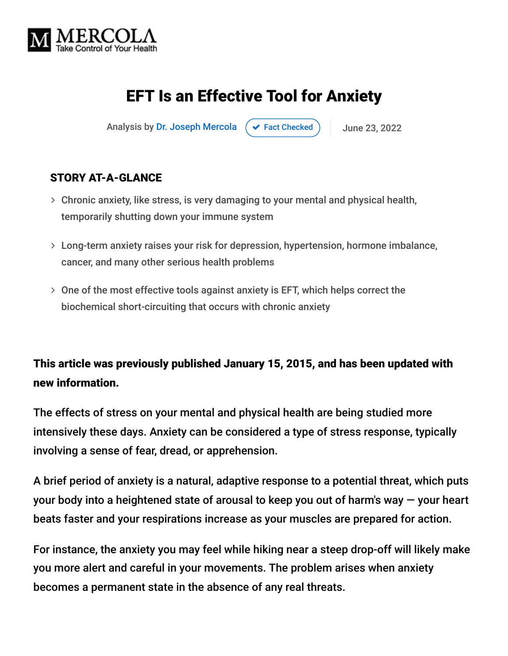

## EFT Is an Effective Tool for Anxiety

Analysis by [Dr. Joseph Mercola](https://www.mercola.com/forms/background.htm)  $\left( \right. \times$  [Fact Checked](javascript:void(0))  $\left. \right)$  June 23, 2022

#### STORY AT-A-GLANCE

- Chronic anxiety, like stress, is very damaging to your mental and physical health, temporarily shutting down your immune system
- Long-term anxiety raises your risk for depression, hypertension, hormone imbalance, cancer, and many other serious health problems
- One of the most effective tools against anxiety is EFT, which helps correct the biochemical short-circuiting that occurs with chronic anxiety

### This article was previously published January 15, 2015, and has been updated with new information.

The effects of stress on your mental and physical health are being studied more intensively these days. Anxiety can be considered a type of stress response, typically involving a sense of fear, dread, or apprehension.

A brief period of anxiety is a natural, adaptive response to a potential threat, which puts your body into a heightened state of arousal to keep you out of harm's way — your heart beats faster and your respirations increase as your muscles are prepared for action.

For instance, the anxiety you may feel while hiking near a steep drop-off will likely make you more alert and careful in your movements. The problem arises when anxiety becomes a permanent state in the absence of any real threats.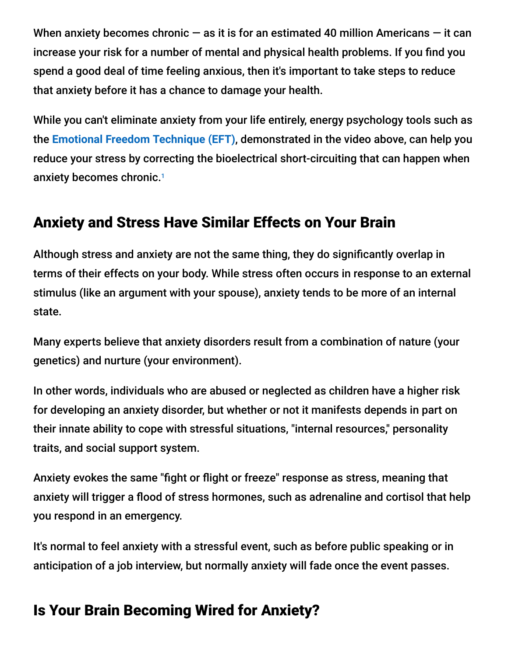When anxiety becomes chronic  $-$  as it is for an estimated 40 million Americans  $-$  it can increase your risk for a number of mental and physical health problems. If you find you spend a good deal of time feeling anxious, then it's important to take steps to reduce that anxiety before it has a chance to damage your health.

While you can't eliminate anxiety from your life entirely, energy psychology tools such as the **[Emotional Freedom Technique \(EFT\)](https://eft.mercola.com/)**, demonstrated in the video above, can help you reduce your stress by correcting the bioelectrical short-circuiting that can happen when anxiety becomes chronic. 1

### Anxiety and Stress Have Similar Effects on Your Brain

Although stress and anxiety are not the same thing, they do significantly overlap in terms of their effects on your body. While stress often occurs in response to an external stimulus (like an argument with your spouse), anxiety tends to be more of an internal state.

Many experts believe that anxiety disorders result from a combination of nature (your genetics) and nurture (your environment).

In other words, individuals who are abused or neglected as children have a higher risk for developing an anxiety disorder, but whether or not it manifests depends in part on their innate ability to cope with stressful situations, "internal resources," personality traits, and social support system.

Anxiety evokes the same "fight or flight or freeze" response as stress, meaning that anxiety will trigger a flood of stress hormones, such as adrenaline and cortisol that help you respond in an emergency.

It's normal to feel anxiety with a stressful event, such as before public speaking or in anticipation of a job interview, but normally anxiety will fade once the event passes.

### Is Your Brain Becoming Wired for Anxiety?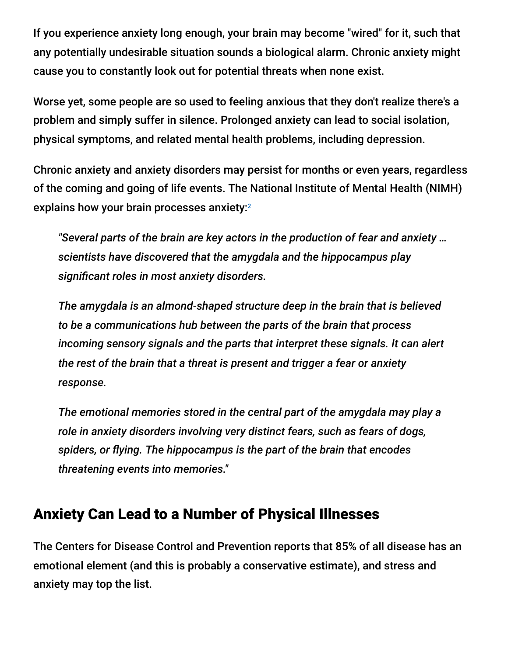If you experience anxiety long enough, your brain may become "wired" for it, such that any potentially undesirable situation sounds a biological alarm. Chronic anxiety might cause you to constantly look out for potential threats when none exist.

Worse yet, some people are so used to feeling anxious that they don't realize there's a problem and simply suffer in silence. Prolonged anxiety can lead to social isolation, physical symptoms, and related mental health problems, including depression.

Chronic anxiety and anxiety disorders may persist for months or even years, regardless of the coming and going of life events. The National Institute of Mental Health (NIMH) explains how your brain processes anxiety: 2

*"Several parts of the brain are key actors in the production of fear and anxiety … scientists have discovered that the amygdala and the hippocampus play significant roles in most anxiety disorders.*

*The amygdala is an almond-shaped structure deep in the brain that is believed to be a communications hub between the parts of the brain that process incoming sensory signals and the parts that interpret these signals. It can alert the rest of the brain that a threat is present and trigger a fear or anxiety response.*

*The emotional memories stored in the central part of the amygdala may play a role in anxiety disorders involving very distinct fears, such as fears of dogs, spiders, or flying. The hippocampus is the part of the brain that encodes threatening events into memories."*

### Anxiety Can Lead to a Number of Physical Illnesses

The Centers for Disease Control and Prevention reports that 85% of all disease has an emotional element (and this is probably a conservative estimate), and stress and anxiety may top the list.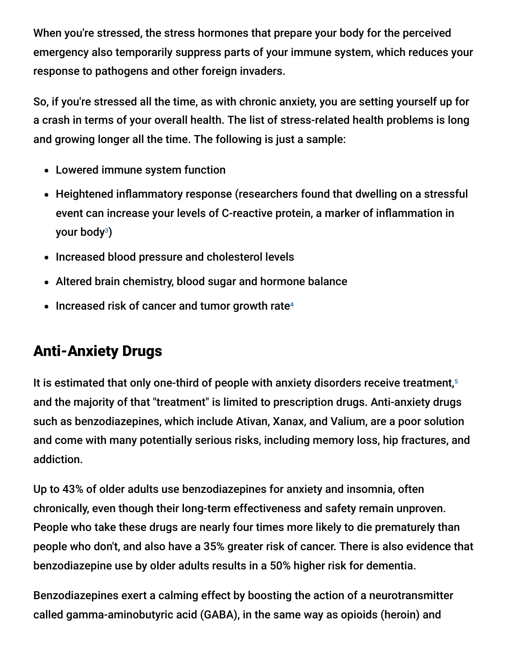When you're stressed, the stress hormones that prepare your body for the perceived emergency also temporarily suppress parts of your immune system, which reduces your response to pathogens and other foreign invaders.

So, if you're stressed all the time, as with chronic anxiety, you are setting yourself up for a crash in terms of your overall health. The list of stress-related health problems is long and growing longer all the time. The following is just a sample:

- Lowered immune system function
- Heightened inflammatory response (researchers found that dwelling on a stressful event can increase your levels of C-reactive protein, a marker of inflammation in your body<sup>3</sup>)
- Increased blood pressure and cholesterol levels
- Altered brain chemistry, blood sugar and hormone balance
- Increased risk of cancer and tumor growth rate 4

# Anti-Anxiety Drugs

It is estimated that only one-third of people with anxiety disorders receive treatment,<sup>5</sup> and the majority of that "treatment" is limited to prescription drugs. Anti-anxiety drugs such as benzodiazepines, which include Ativan, Xanax, and Valium, are a poor solution and come with many potentially serious risks, including memory loss, hip fractures, and addiction.

Up to 43% of older adults use benzodiazepines for anxiety and insomnia, often chronically, even though their long-term effectiveness and safety remain unproven. People who take these drugs are nearly four times more likely to die prematurely than people who don't, and also have a 35% greater risk of cancer. There is also evidence that benzodiazepine use by older adults results in a 50% higher risk for dementia.

Benzodiazepines exert a calming effect by boosting the action of a neurotransmitter called gamma-aminobutyric acid (GABA), in the same way as opioids (heroin) and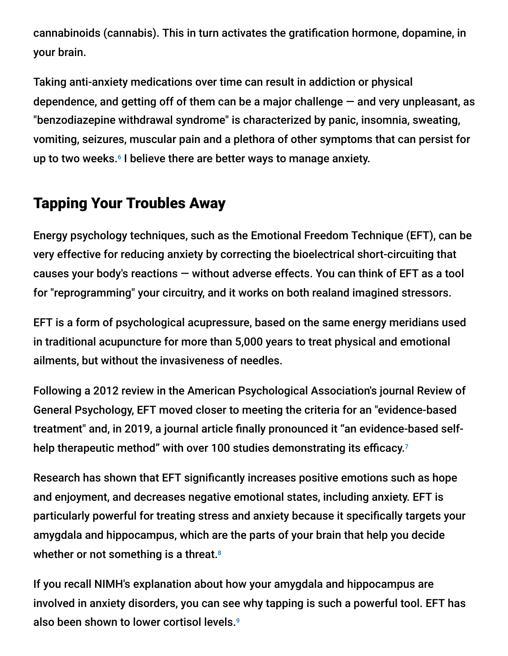cannabinoids (cannabis). This in turn activates the gratification hormone, dopamine, in your brain.

Taking anti-anxiety medications over time can result in addiction or physical dependence, and getting off of them can be a major challenge  $-$  and very unpleasant, as "benzodiazepine withdrawal syndrome" is characterized by panic, insomnia, sweating, vomiting, seizures, muscular pain and a plethora of other symptoms that can persist for up to two weeks.<sup>6</sup> I believe there are better ways to manage anxiety.

### Tapping Your Troubles Away

Energy psychology techniques, such as the Emotional Freedom Technique (EFT), can be very effective for reducing anxiety by correcting the bioelectrical short-circuiting that causes your body's reactions — without adverse effects. You can think of EFT as a tool for "reprogramming" your circuitry, and it works on both realand imagined stressors.

EFT is a form of psychological acupressure, based on the same energy meridians used in traditional acupuncture for more than 5,000 years to treat physical and emotional ailments, but without the invasiveness of needles.

Following a 2012 review in the American Psychological Association's journal Review of General Psychology, EFT moved closer to meeting the criteria for an "evidence-based treatment" and, in 2019, a journal article finally pronounced it "an evidence-based selfhelp therapeutic method" with over 100 studies demonstrating its efficacy.<sup>7</sup>

Research has shown that EFT significantly increases positive emotions such as hope and enjoyment, and decreases negative emotional states, including anxiety. EFT is particularly powerful for treating stress and anxiety because it specifically targets your amygdala and hippocampus, which are the parts of your brain that help you decide whether or not something is a threat. 8

If you recall NIMH's explanation about how your amygdala and hippocampus are involved in anxiety disorders, you can see why tapping is such a powerful tool. EFT has also been shown to lower cortisol levels. 9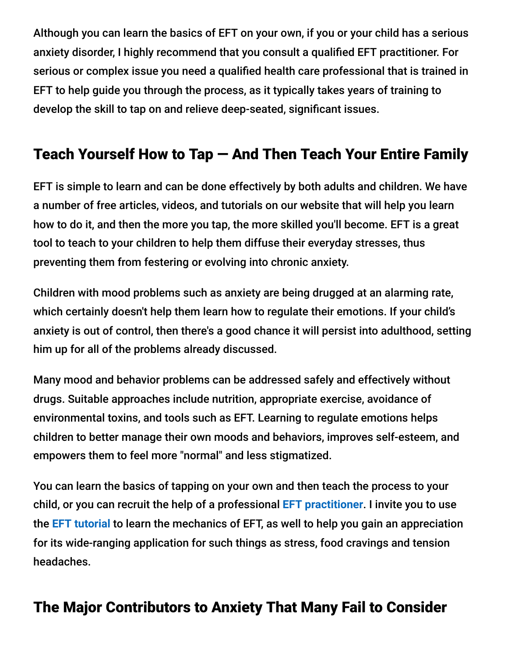Although you can learn the basics of EFT on your own, if you or your child has a serious anxiety disorder, I highly recommend that you consult a qualified EFT practitioner. For serious or complex issue you need a qualified health care professional that is trained in EFT to help guide you through the process, as it typically takes years of training to develop the skill to tap on and relieve deep-seated, significant issues.

## Teach Yourself How to Tap — And Then Teach Your Entire Family

EFT is simple to learn and can be done effectively by both adults and children. We have a number of free articles, videos, and tutorials on our website that will help you learn how to do it, and then the more you tap, the more skilled you'll become. EFT is a great tool to teach to your children to help them diffuse their everyday stresses, thus preventing them from festering or evolving into chronic anxiety.

Children with mood problems such as anxiety are being drugged at an alarming rate, which certainly doesn't help them learn how to regulate their emotions. If your child's anxiety is out of control, then there's a good chance it will persist into adulthood, setting him up for all of the problems already discussed.

Many mood and behavior problems can be addressed safely and effectively without drugs. Suitable approaches include nutrition, appropriate exercise, avoidance of environmental toxins, and tools such as EFT. Learning to regulate emotions helps children to better manage their own moods and behaviors, improves self-esteem, and empowers them to feel more "normal" and less stigmatized.

You can learn the basics of tapping on your own and then teach the process to your child, or you can recruit the help of a professional **[EFT practitioner](http://www.eftuniverse.com/index.php?option=com_xius&view=list&listid=19&task=showList&Itemid=3163)**. I invite you to use the **[EFT tutorial](https://eft.mercola.com/)** to learn the mechanics of EFT, as well to help you gain an appreciation for its wide-ranging application for such things as stress, food cravings and tension headaches.

### The Major Contributors to Anxiety That Many Fail to Consider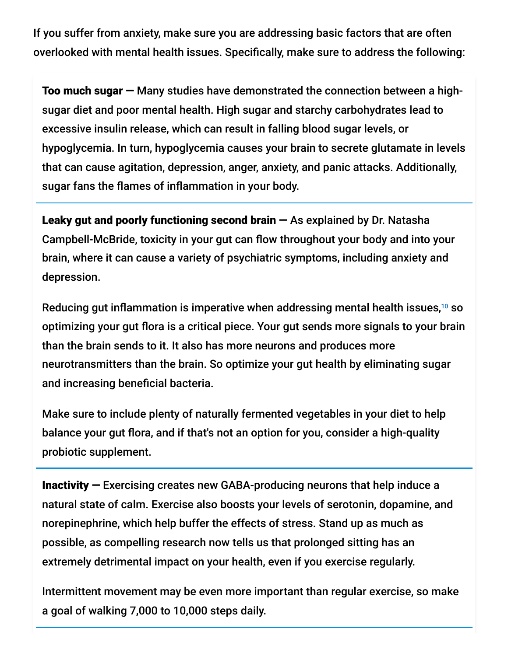If you suffer from anxiety, make sure you are addressing basic factors that are often overlooked with mental health issues. Specifically, make sure to address the following:

Too much sugar — Many studies have demonstrated the connection between a highsugar diet and poor mental health. High sugar and starchy carbohydrates lead to excessive insulin release, which can result in falling blood sugar levels, or hypoglycemia. In turn, hypoglycemia causes your brain to secrete glutamate in levels that can cause agitation, depression, anger, anxiety, and panic attacks. Additionally, sugar fans the flames of inflammation in your body.

Leaky gut and poorly functioning second brain  $-$  As explained by Dr. Natasha Campbell-McBride, toxicity in your gut can flow throughout your body and into your brain, where it can cause a variety of psychiatric symptoms, including anxiety and depression.

Reducing gut inflammation is imperative when addressing mental health issues, $^{10}$  so optimizing your gut flora is a critical piece. Your gut sends more signals to your brain than the brain sends to it. It also has more neurons and produces more neurotransmitters than the brain. So optimize your gut health by eliminating sugar and increasing beneficial bacteria.

Make sure to include plenty of naturally fermented vegetables in your diet to help balance your gut flora, and if that's not an option for you, consider a high-quality probiotic supplement.

Inactivity — Exercising creates new GABA-producing neurons that help induce a natural state of calm. Exercise also boosts your levels of serotonin, dopamine, and norepinephrine, which help buffer the effects of stress. Stand up as much as possible, as compelling research now tells us that prolonged sitting has an extremely detrimental impact on your health, even if you exercise regularly.

Intermittent movement may be even more important than regular exercise, so make a goal of walking 7,000 to 10,000 steps daily.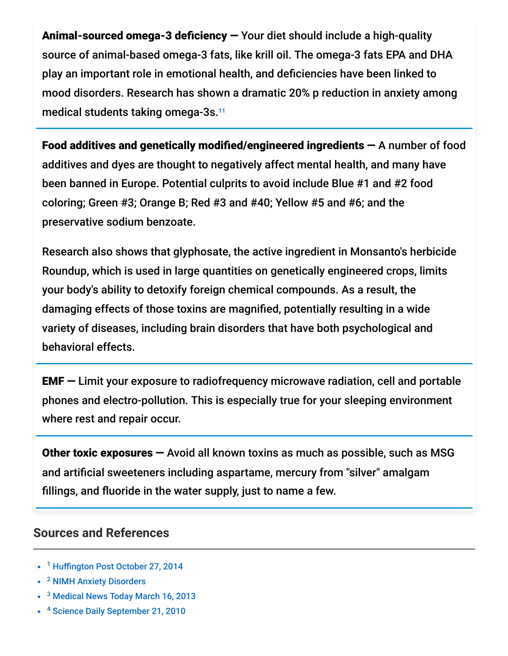Animal-sourced omega-3 deficiency — Your diet should include a high-quality source of animal-based omega-3 fats, like krill oil. The omega-3 fats EPA and DHA play an important role in emotional health, and deficiencies have been linked to mood disorders. Research has shown a dramatic 20% p reduction in anxiety among medical students taking omega-3s. 11

Food additives and genetically modified/engineered ingredients — A number of food additives and dyes are thought to negatively affect mental health, and many have been banned in Europe. Potential culprits to avoid include Blue #1 and #2 food coloring; Green #3; Orange B; Red #3 and #40; Yellow #5 and #6; and the preservative sodium benzoate.

Research also shows that glyphosate, the active ingredient in Monsanto's herbicide Roundup, which is used in large quantities on genetically engineered crops, limits your body's ability to detoxify foreign chemical compounds. As a result, the damaging effects of those toxins are magnified, potentially resulting in a wide variety of diseases, including brain disorders that have both psychological and behavioral effects.

EMF — Limit your exposure to radiofrequency microwave radiation, cell and portable phones and electro-pollution. This is especially true for your sleeping environment where rest and repair occur.

Other toxic exposures — Avoid all known toxins as much as possible, such as MSG and artificial sweeteners including aspartame, mercury from "silver" amalgam fillings, and fluoride in the water supply, just to name a few.

#### **Sources and References**

- <sup>1</sup> [Huffington Post October 27, 2014](http://www.huffingtonpost.com/2014/10/27/tapping-for-anxiety-gabrielle-bernstein_n_6044082.html?utm_hp_ref=tw)
- <sup>2</sup> [NIMH Anxiety Disorders](http://www.nimh.nih.gov/health/topics/anxiety-disorders/index.shtml)
- <sup>3</sup> [Medical News Today March 16, 2013](http://www.medicalnewstoday.com/releases/257665.php)
- <sup>4</sup> [Science Daily September 21, 2010](http://www.sciencedaily.com/releases/2010/09/100916091757.htm)